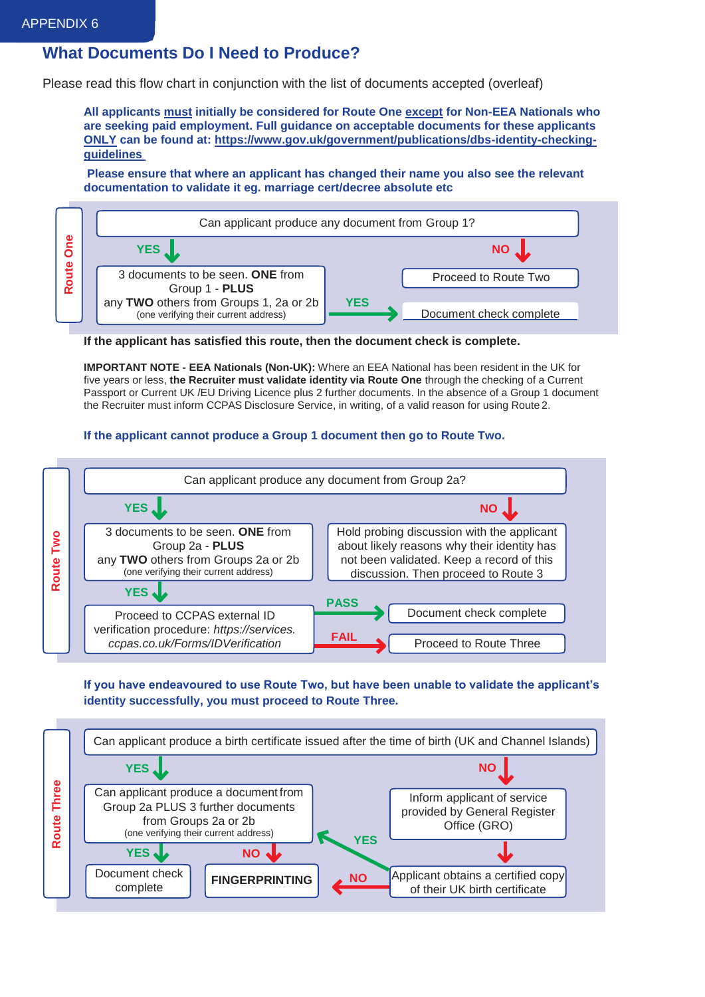## **What Documents Do I Need to Produce?**

Please read this flow chart in conjunction with the list of documents accepted (overleaf)

**All applicants must initially be considered for Route One except for Non-EEA Nationals who are seeking paid employment. Full guidance on acceptable documents for these applicants ONLY can be found at: [https://www.gov.uk/government/publications/dbs-identity-checking](https://www.gov.uk/government/publications/dbs-identity-checking-guidelines)[guidelines](https://www.gov.uk/government/publications/dbs-identity-checking-guidelines)**

**Please ensure that where an applicant has changed their name you also see the relevant documentation to validate it eg. marriage cert/decree absolute etc**



**If the applicant has satisfied this route, then the document check is complete.**

**IMPORTANT NOTE - EEA Nationals (Non-UK):** Where an EEA National has been resident in the UK for five years or less, **the Recruiter must validate identity via Route One** through the checking of a Current Passport or Current UK /EU Driving Licence plus 2 further documents. In the absence of a Group 1 document the Recruiter must inform CCPAS Disclosure Service, in writing, of a valid reason for using Route 2.

## **If the applicant cannot produce a Group 1 document then go to Route Two.**



**If you have endeavoured to use Route Two, but have been unable to validate the applicant's identity successfully, you must proceed to Route Three.**